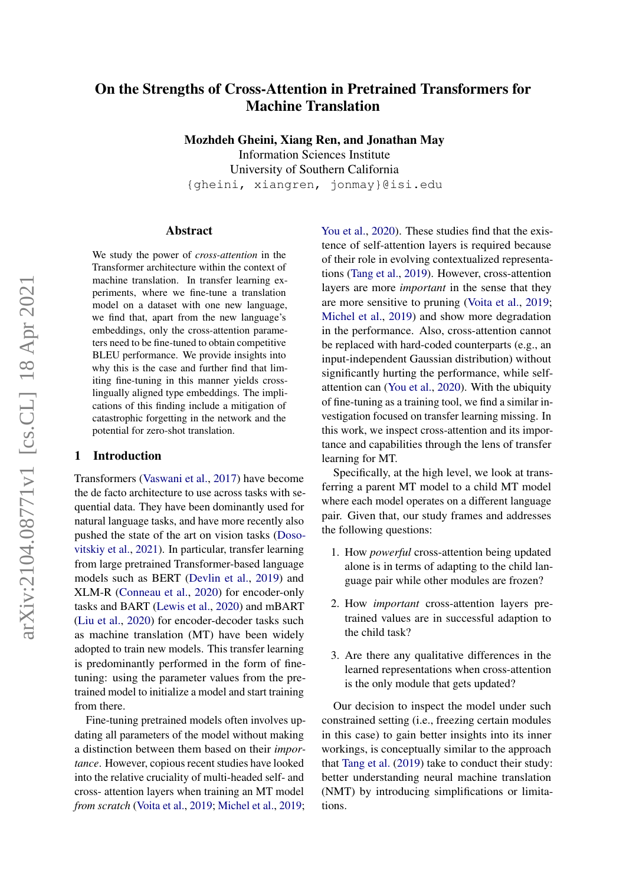# On the Strengths of Cross-Attention in Pretrained Transformers for Machine Translation

Mozhdeh Gheini, Xiang Ren, and Jonathan May

Information Sciences Institute University of Southern California {gheini, xiangren, jonmay}@isi.edu

#### Abstract

We study the power of *cross-attention* in the Transformer architecture within the context of machine translation. In transfer learning experiments, where we fine-tune a translation model on a dataset with one new language, we find that, apart from the new language's embeddings, only the cross-attention parameters need to be fine-tuned to obtain competitive BLEU performance. We provide insights into why this is the case and further find that limiting fine-tuning in this manner yields crosslingually aligned type embeddings. The implications of this finding include a mitigation of catastrophic forgetting in the network and the potential for zero-shot translation.

# <span id="page-0-0"></span>1 Introduction

Transformers [\(Vaswani et al.,](#page-8-0) [2017\)](#page-8-0) have become the de facto architecture to use across tasks with sequential data. They have been dominantly used for natural language tasks, and have more recently also pushed the state of the art on vision tasks [\(Doso](#page-7-0)[vitskiy et al.,](#page-7-0) [2021\)](#page-7-0). In particular, transfer learning from large pretrained Transformer-based language models such as BERT [\(Devlin et al.,](#page-7-1) [2019\)](#page-7-1) and XLM-R [\(Conneau et al.,](#page-7-2) [2020\)](#page-7-2) for encoder-only tasks and BART [\(Lewis et al.,](#page-8-1) [2020\)](#page-8-1) and mBART [\(Liu et al.,](#page-8-2) [2020\)](#page-8-2) for encoder-decoder tasks such as machine translation (MT) have been widely adopted to train new models. This transfer learning is predominantly performed in the form of finetuning: using the parameter values from the pretrained model to initialize a model and start training from there.

Fine-tuning pretrained models often involves updating all parameters of the model without making a distinction between them based on their *importance*. However, copious recent studies have looked into the relative cruciality of multi-headed self- and cross- attention layers when training an MT model *from scratch* [\(Voita et al.,](#page-8-3) [2019;](#page-8-3) [Michel et al.,](#page-8-4) [2019;](#page-8-4)

[You et al.,](#page-9-0) [2020\)](#page-9-0). These studies find that the existence of self-attention layers is required because of their role in evolving contextualized representations [\(Tang et al.,](#page-8-5) [2019\)](#page-8-5). However, cross-attention layers are more *important* in the sense that they are more sensitive to pruning [\(Voita et al.,](#page-8-3) [2019;](#page-8-3) [Michel et al.,](#page-8-4) [2019\)](#page-8-4) and show more degradation in the performance. Also, cross-attention cannot be replaced with hard-coded counterparts (e.g., an input-independent Gaussian distribution) without significantly hurting the performance, while selfattention can [\(You et al.,](#page-9-0) [2020\)](#page-9-0). With the ubiquity of fine-tuning as a training tool, we find a similar investigation focused on transfer learning missing. In this work, we inspect cross-attention and its importance and capabilities through the lens of transfer learning for MT.

Specifically, at the high level, we look at transferring a parent MT model to a child MT model where each model operates on a different language pair. Given that, our study frames and addresses the following questions:

- 1. How *powerful* cross-attention being updated alone is in terms of adapting to the child language pair while other modules are frozen?
- 2. How *important* cross-attention layers pretrained values are in successful adaption to the child task?
- 3. Are there any qualitative differences in the learned representations when cross-attention is the only module that gets updated?

Our decision to inspect the model under such constrained setting (i.e., freezing certain modules in this case) to gain better insights into its inner workings, is conceptually similar to the approach that [Tang et al.](#page-8-5) [\(2019\)](#page-8-5) take to conduct their study: better understanding neural machine translation (NMT) by introducing simplifications or limitations.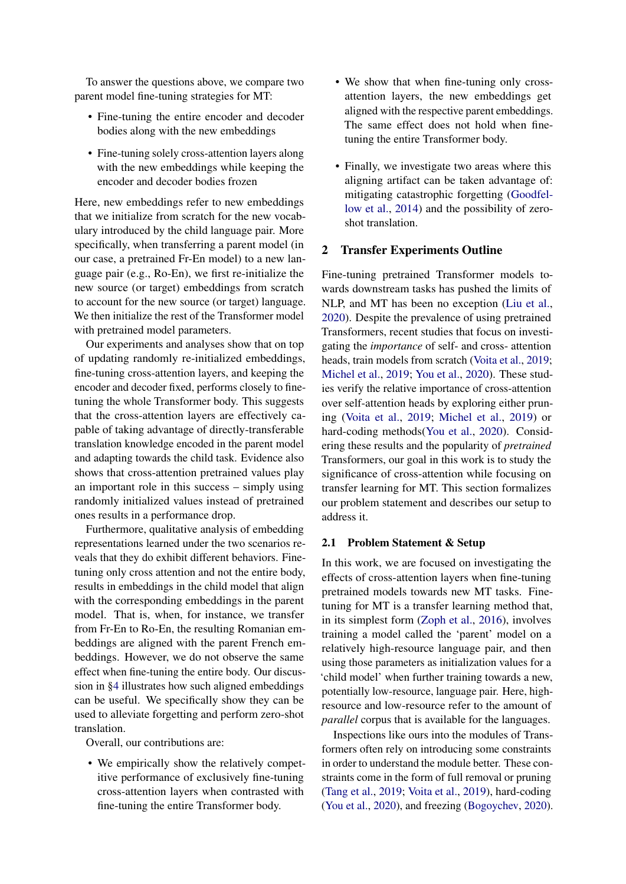To answer the questions above, we compare two parent model fine-tuning strategies for MT:

- Fine-tuning the entire encoder and decoder bodies along with the new embeddings
- Fine-tuning solely cross-attention layers along with the new embeddings while keeping the encoder and decoder bodies frozen

Here, new embeddings refer to new embeddings that we initialize from scratch for the new vocabulary introduced by the child language pair. More specifically, when transferring a parent model (in our case, a pretrained Fr-En model) to a new language pair (e.g., Ro-En), we first re-initialize the new source (or target) embeddings from scratch to account for the new source (or target) language. We then initialize the rest of the Transformer model with pretrained model parameters.

Our experiments and analyses show that on top of updating randomly re-initialized embeddings, fine-tuning cross-attention layers, and keeping the encoder and decoder fixed, performs closely to finetuning the whole Transformer body. This suggests that the cross-attention layers are effectively capable of taking advantage of directly-transferable translation knowledge encoded in the parent model and adapting towards the child task. Evidence also shows that cross-attention pretrained values play an important role in this success – simply using randomly initialized values instead of pretrained ones results in a performance drop.

Furthermore, qualitative analysis of embedding representations learned under the two scenarios reveals that they do exhibit different behaviors. Finetuning only cross attention and not the entire body, results in embeddings in the child model that align with the corresponding embeddings in the parent model. That is, when, for instance, we transfer from Fr-En to Ro-En, the resulting Romanian embeddings are aligned with the parent French embeddings. However, we do not observe the same effect when fine-tuning the entire body. Our discussion in [§4](#page-4-0) illustrates how such aligned embeddings can be useful. We specifically show they can be used to alleviate forgetting and perform zero-shot translation.

Overall, our contributions are:

• We empirically show the relatively competitive performance of exclusively fine-tuning cross-attention layers when contrasted with fine-tuning the entire Transformer body.

- We show that when fine-tuning only crossattention layers, the new embeddings get aligned with the respective parent embeddings. The same effect does not hold when finetuning the entire Transformer body.
- Finally, we investigate two areas where this aligning artifact can be taken advantage of: mitigating catastrophic forgetting [\(Goodfel](#page-7-3)[low et al.,](#page-7-3) [2014\)](#page-7-3) and the possibility of zeroshot translation.

# 2 Transfer Experiments Outline

Fine-tuning pretrained Transformer models towards downstream tasks has pushed the limits of NLP, and MT has been no exception [\(Liu et al.,](#page-8-2) [2020\)](#page-8-2). Despite the prevalence of using pretrained Transformers, recent studies that focus on investigating the *importance* of self- and cross- attention heads, train models from scratch [\(Voita et al.,](#page-8-3) [2019;](#page-8-3) [Michel et al.,](#page-8-4) [2019;](#page-8-4) [You et al.,](#page-9-0) [2020\)](#page-9-0). These studies verify the relative importance of cross-attention over self-attention heads by exploring either pruning [\(Voita et al.,](#page-8-3) [2019;](#page-8-3) [Michel et al.,](#page-8-4) [2019\)](#page-8-4) or hard-coding methods[\(You et al.,](#page-9-0) [2020\)](#page-9-0). Considering these results and the popularity of *pretrained* Transformers, our goal in this work is to study the significance of cross-attention while focusing on transfer learning for MT. This section formalizes our problem statement and describes our setup to address it.

#### 2.1 Problem Statement & Setup

In this work, we are focused on investigating the effects of cross-attention layers when fine-tuning pretrained models towards new MT tasks. Finetuning for MT is a transfer learning method that, in its simplest form [\(Zoph et al.,](#page-9-1) [2016\)](#page-9-1), involves training a model called the 'parent' model on a relatively high-resource language pair, and then using those parameters as initialization values for a 'child model' when further training towards a new, potentially low-resource, language pair. Here, highresource and low-resource refer to the amount of *parallel* corpus that is available for the languages.

Inspections like ours into the modules of Transformers often rely on introducing some constraints in order to understand the module better. These constraints come in the form of full removal or pruning [\(Tang et al.,](#page-8-5) [2019;](#page-8-5) [Voita et al.,](#page-8-3) [2019\)](#page-8-3), hard-coding [\(You et al.,](#page-9-0) [2020\)](#page-9-0), and freezing [\(Bogoychev,](#page-7-4) [2020\)](#page-7-4).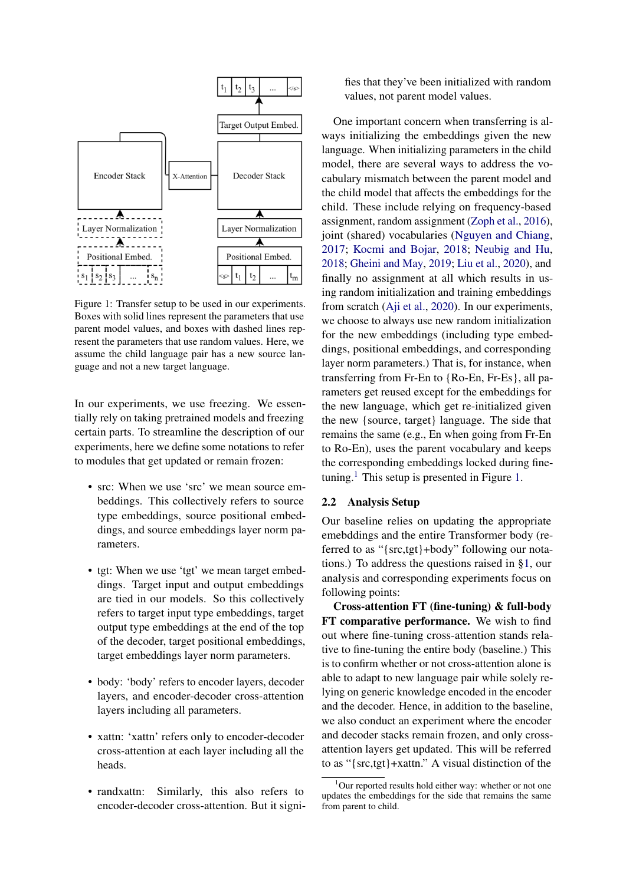<span id="page-2-1"></span>

Figure 1: Transfer setup to be used in our experiments. Boxes with solid lines represent the parameters that use parent model values, and boxes with dashed lines represent the parameters that use random values. Here, we assume the child language pair has a new source language and not a new target language.

In our experiments, we use freezing. We essentially rely on taking pretrained models and freezing certain parts. To streamline the description of our experiments, here we define some notations to refer to modules that get updated or remain frozen:

- src: When we use 'src' we mean source embeddings. This collectively refers to source type embeddings, source positional embeddings, and source embeddings layer norm parameters.
- tgt: When we use 'tgt' we mean target embeddings. Target input and output embeddings are tied in our models. So this collectively refers to target input type embeddings, target output type embeddings at the end of the top of the decoder, target positional embeddings, target embeddings layer norm parameters.
- body: 'body' refers to encoder layers, decoder layers, and encoder-decoder cross-attention layers including all parameters.
- xattn: 'xattn' refers only to encoder-decoder cross-attention at each layer including all the heads.
- randxattn: Similarly, this also refers to encoder-decoder cross-attention. But it signi-

fies that they've been initialized with random values, not parent model values.

One important concern when transferring is always initializing the embeddings given the new language. When initializing parameters in the child model, there are several ways to address the vocabulary mismatch between the parent model and the child model that affects the embeddings for the child. These include relying on frequency-based assignment, random assignment [\(Zoph et al.,](#page-9-1) [2016\)](#page-9-1), joint (shared) vocabularies [\(Nguyen and Chiang,](#page-8-6) [2017;](#page-8-6) [Kocmi and Bojar,](#page-7-5) [2018;](#page-7-5) [Neubig and Hu,](#page-8-7) [2018;](#page-8-7) [Gheini and May,](#page-7-6) [2019;](#page-7-6) [Liu et al.,](#page-8-2) [2020\)](#page-8-2), and finally no assignment at all which results in using random initialization and training embeddings from scratch [\(Aji et al.,](#page-6-0) [2020\)](#page-6-0). In our experiments, we choose to always use new random initialization for the new embeddings (including type embeddings, positional embeddings, and corresponding layer norm parameters.) That is, for instance, when transferring from Fr-En to {Ro-En, Fr-Es}, all parameters get reused except for the embeddings for the new language, which get re-initialized given the new {source, target} language. The side that remains the same (e.g., En when going from Fr-En to Ro-En), uses the parent vocabulary and keeps the corresponding embeddings locked during fine-tuning.<sup>[1](#page-2-0)</sup> This setup is presented in Figure [1.](#page-2-1)

# 2.2 Analysis Setup

Our baseline relies on updating the appropriate emebddings and the entire Transformer body (referred to as "{src,tgt}+body" following our notations.) To address the questions raised in [§1,](#page-0-0) our analysis and corresponding experiments focus on following points:

Cross-attention FT (fine-tuning) & full-body FT comparative performance. We wish to find out where fine-tuning cross-attention stands relative to fine-tuning the entire body (baseline.) This is to confirm whether or not cross-attention alone is able to adapt to new language pair while solely relying on generic knowledge encoded in the encoder and the decoder. Hence, in addition to the baseline, we also conduct an experiment where the encoder and decoder stacks remain frozen, and only crossattention layers get updated. This will be referred to as "{src,tgt}+xattn." A visual distinction of the

<span id="page-2-0"></span> $1$ Our reported results hold either way: whether or not one updates the embeddings for the side that remains the same from parent to child.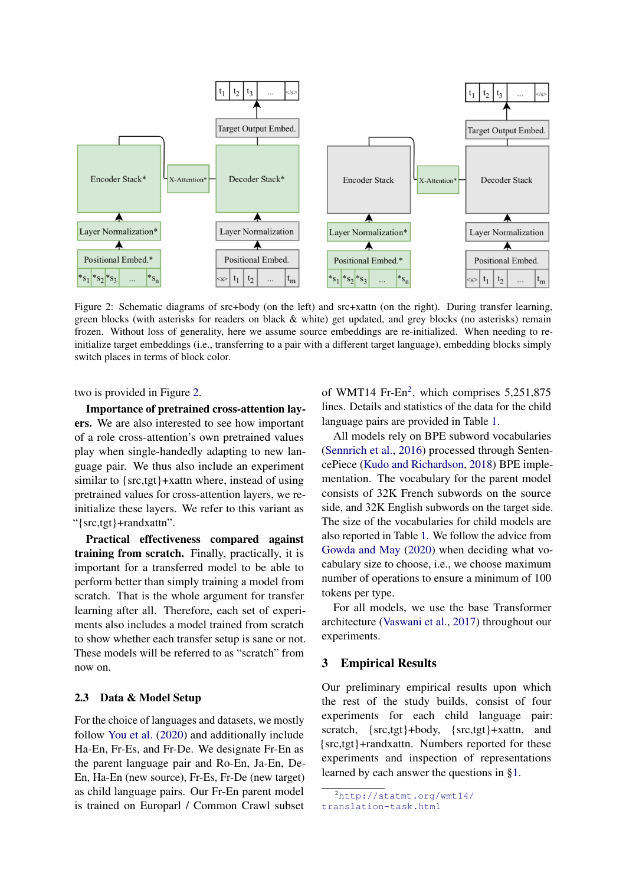<span id="page-3-0"></span>

Figure 2: Schematic diagrams of src+body (on the left) and src+xattn (on the right). During transfer learning, green blocks (with asterisks for readers on black & white) get updated, and grey blocks (no asterisks) remain frozen. Without loss of generality, here we assume source embeddings are re-initialized. When needing to reinitialize target embeddings (i.e., transferring to a pair with a different target language), embedding blocks simply switch places in terms of block color.

two is provided in Figure [2.](#page-3-0)

Importance of pretrained cross-attention layers. We are also interested to see how important of a role cross-attention's own pretrained values play when single-handedly adapting to new language pair. We thus also include an experiment similar to {src,tgt}+xattn where, instead of using pretrained values for cross-attention layers, we reinitialize these layers. We refer to this variant as "{src,tgt}+randxattn".

Practical effectiveness compared against training from scratch. Finally, practically, it is important for a transferred model to be able to perform better than simply training a model from scratch. That is the whole argument for transfer learning after all. Therefore, each set of experiments also includes a model trained from scratch to show whether each transfer setup is sane or not. These models will be referred to as "scratch" from now on.

# 2.3 Data & Model Setup

For the choice of languages and datasets, we mostly follow [You et al.](#page-9-0) [\(2020\)](#page-9-0) and additionally include Ha-En, Fr-Es, and Fr-De. We designate Fr-En as the parent language pair and Ro-En, Ja-En, De-En, Ha-En (new source), Fr-Es, Fr-De (new target) as child language pairs. Our Fr-En parent model is trained on Europarl / Common Crawl subset

of WMT14 Fr-En<sup>[2](#page-3-1)</sup>, which comprises 5,251,875 lines. Details and statistics of the data for the child language pairs are provided in Table [1.](#page-4-1)

All models rely on BPE subword vocabularies [\(Sennrich et al.,](#page-8-8) [2016\)](#page-8-8) processed through SentencePiece [\(Kudo and Richardson,](#page-8-9) [2018\)](#page-8-9) BPE implementation. The vocabulary for the parent model consists of 32K French subwords on the source side, and 32K English subwords on the target side. The size of the vocabularies for child models are also reported in Table [1.](#page-4-1) We follow the advice from [Gowda and May](#page-7-7) [\(2020\)](#page-7-7) when deciding what vocabulary size to choose, i.e., we choose maximum number of operations to ensure a minimum of 100 tokens per type.

For all models, we use the base Transformer architecture [\(Vaswani et al.,](#page-8-0) [2017\)](#page-8-0) throughout our experiments.

# 3 Empirical Results

Our preliminary empirical results upon which the rest of the study builds, consist of four experiments for each child language pair: scratch, {src,tgt}+body, {src,tgt}+xattn, and {src,tgt}+randxattn. Numbers reported for these experiments and inspection of representations learned by each answer the questions in [§1.](#page-0-0)

<span id="page-3-1"></span><sup>2</sup>[http://statmt.org/wmt14/](http://statmt.org/wmt14/translation-task.html) [translation-task.html](http://statmt.org/wmt14/translation-task.html)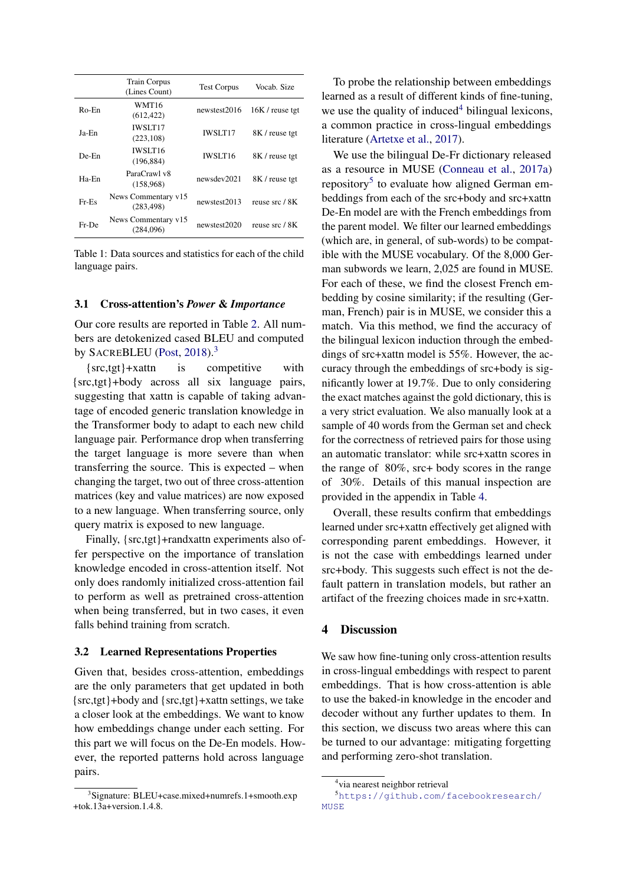<span id="page-4-1"></span>

|          | <b>Train Corpus</b><br>(Lines Count) | <b>Test Corpus</b> | Vocab. Size       |
|----------|--------------------------------------|--------------------|-------------------|
| $Ro$ -En | WMT16<br>(612, 422)                  | newstest2016       | $16K$ / reuse tgt |
| Ja-En    | <b>IWSLT17</b><br>(223, 108)         | <b>IWSLT17</b>     | 8K / reuse tgt    |
| $De-En$  | <b>IWSLT16</b><br>(196, 884)         | <b>IWSLT16</b>     | 8K / reuse tgt    |
| Ha-En    | ParaCrawl v8<br>(158,968)            | newsdev2021        | 8K / reuse tgt    |
| $Fr-Es$  | News Commentary v15<br>(283.498)     | newstest2013       | reuse src / 8K    |
| Fr-De    | News Commentary v15<br>(284.096)     | newstest2020       | reuse src / 8K    |

Table 1: Data sources and statistics for each of the child language pairs.

#### 3.1 Cross-attention's *Power* & *Importance*

Our core results are reported in Table [2.](#page-5-0) All numbers are detokenized cased BLEU and computed by SACREBLEU [\(Post,](#page-8-10) [2018\)](#page-8-10).<sup>[3](#page-4-2)</sup>

{src,tgt}+xattn is competitive with {src,tgt}+body across all six language pairs, suggesting that xattn is capable of taking advantage of encoded generic translation knowledge in the Transformer body to adapt to each new child language pair. Performance drop when transferring the target language is more severe than when transferring the source. This is expected – when changing the target, two out of three cross-attention matrices (key and value matrices) are now exposed to a new language. When transferring source, only query matrix is exposed to new language.

Finally, {src,tgt}+randxattn experiments also offer perspective on the importance of translation knowledge encoded in cross-attention itself. Not only does randomly initialized cross-attention fail to perform as well as pretrained cross-attention when being transferred, but in two cases, it even falls behind training from scratch.

# <span id="page-4-5"></span>3.2 Learned Representations Properties

Given that, besides cross-attention, embeddings are the only parameters that get updated in both {src,tgt}+body and {src,tgt}+xattn settings, we take a closer look at the embeddings. We want to know how embeddings change under each setting. For this part we will focus on the De-En models. However, the reported patterns hold across language pairs.

To probe the relationship between embeddings learned as a result of different kinds of fine-tuning, we use the quality of induced $4$  bilingual lexicons, a common practice in cross-lingual embeddings literature [\(Artetxe et al.,](#page-6-1) [2017\)](#page-6-1).

We use the bilingual De-Fr dictionary released as a resource in MUSE [\(Conneau et al.,](#page-7-8) [2017a\)](#page-7-8) repository<sup>[5](#page-4-4)</sup> to evaluate how aligned German embeddings from each of the src+body and src+xattn De-En model are with the French embeddings from the parent model. We filter our learned embeddings (which are, in general, of sub-words) to be compatible with the MUSE vocabulary. Of the 8,000 German subwords we learn, 2,025 are found in MUSE. For each of these, we find the closest French embedding by cosine similarity; if the resulting (German, French) pair is in MUSE, we consider this a match. Via this method, we find the accuracy of the bilingual lexicon induction through the embeddings of src+xattn model is 55%. However, the accuracy through the embeddings of src+body is significantly lower at 19.7%. Due to only considering the exact matches against the gold dictionary, this is a very strict evaluation. We also manually look at a sample of 40 words from the German set and check for the correctness of retrieved pairs for those using an automatic translator: while src+xattn scores in the range of 80%, src+ body scores in the range of 30%. Details of this manual inspection are provided in the appendix in Table [4.](#page-10-0)

Overall, these results confirm that embeddings learned under src+xattn effectively get aligned with corresponding parent embeddings. However, it is not the case with embeddings learned under src+body. This suggests such effect is not the default pattern in translation models, but rather an artifact of the freezing choices made in src+xattn.

#### <span id="page-4-0"></span>4 Discussion

We saw how fine-tuning only cross-attention results in cross-lingual embeddings with respect to parent embeddings. That is how cross-attention is able to use the baked-in knowledge in the encoder and decoder without any further updates to them. In this section, we discuss two areas where this can be turned to our advantage: mitigating forgetting and performing zero-shot translation.

<span id="page-4-2"></span><sup>3</sup> Signature: BLEU+case.mixed+numrefs.1+smooth.exp  $+$ tok.13a+version.1.4.8.

<span id="page-4-4"></span><span id="page-4-3"></span><sup>4</sup> via nearest neighbor retrieval

<sup>5</sup>[https://github.com/facebookresearch/](https://github.com/facebookresearch/MUSE) **[MUSE](https://github.com/facebookresearch/MUSE)**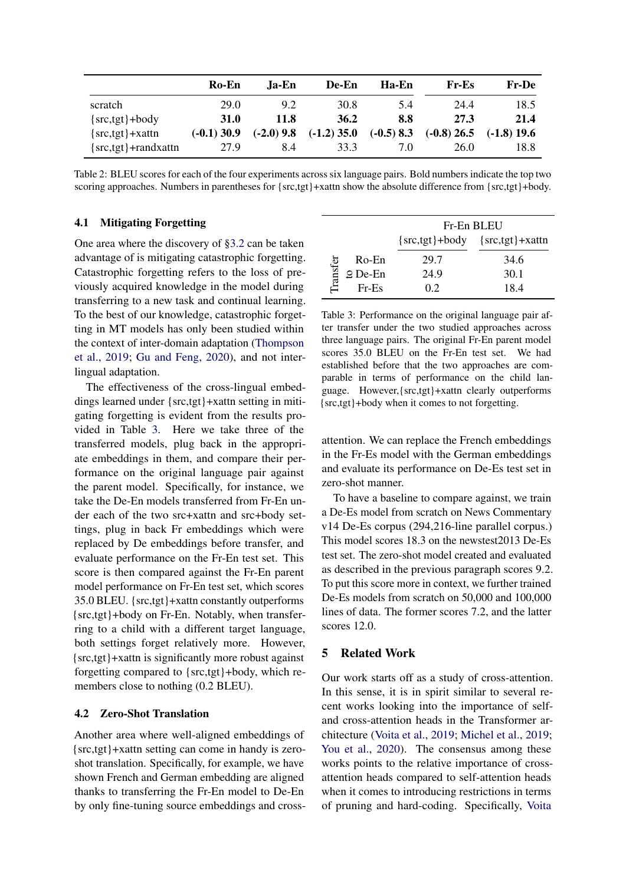<span id="page-5-0"></span>

|                          | Ro-En         | Ja-En        | De-En         | Ha-En        | Fr-Es         | <b>Fr-De</b>  |
|--------------------------|---------------|--------------|---------------|--------------|---------------|---------------|
| scratch                  | 29.0          | 9.2          | 30.8          | 5.4          | 24.4          | 18.5          |
| $\{src,tgt\}+body$       | <b>31.0</b>   | 11.8         | 36.2          | 8.8          | 27.3          | 21.4          |
| $\{src,tgt\}$ +xattn     | $(-0.1)$ 30.9 | $(-2.0)$ 9.8 | $(-1.2)$ 35.0 | $(-0.5)$ 8.3 | $(-0.8)$ 26.5 | $(-1.8)$ 19.6 |
| $\{src,tgt\}$ +randxattn | 27.9          | 8.4          | 33.3          | 7.0          | 26.0          | 18.8          |

Table 2: BLEU scores for each of the four experiments across six language pairs. Bold numbers indicate the top two scoring approaches. Numbers in parentheses for {src,tgt}+xattn show the absolute difference from {src,tgt}+body.

# 4.1 Mitigating Forgetting

One area where the discovery of [§3.2](#page-4-5) can be taken advantage of is mitigating catastrophic forgetting. Catastrophic forgetting refers to the loss of previously acquired knowledge in the model during transferring to a new task and continual learning. To the best of our knowledge, catastrophic forgetting in MT models has only been studied within the context of inter-domain adaptation [\(Thompson](#page-8-11) [et al.,](#page-8-11) [2019;](#page-8-11) [Gu and Feng,](#page-7-9) [2020\)](#page-7-9), and not interlingual adaptation.

The effectiveness of the cross-lingual embeddings learned under {src,tgt}+xattn setting in mitigating forgetting is evident from the results provided in Table [3.](#page-5-1) Here we take three of the transferred models, plug back in the appropriate embeddings in them, and compare their performance on the original language pair against the parent model. Specifically, for instance, we take the De-En models transferred from Fr-En under each of the two src+xattn and src+body settings, plug in back Fr embeddings which were replaced by De embeddings before transfer, and evaluate performance on the Fr-En test set. This score is then compared against the Fr-En parent model performance on Fr-En test set, which scores 35.0 BLEU. {src,tgt}+xattn constantly outperforms {src,tgt}+body on Fr-En. Notably, when transferring to a child with a different target language, both settings forget relatively more. However, {src,tgt}+xattn is significantly more robust against forgetting compared to {src,tgt}+body, which remembers close to nothing (0.2 BLEU).

# 4.2 Zero-Shot Translation

Another area where well-aligned embeddings of {src,tgt}+xattn setting can come in handy is zeroshot translation. Specifically, for example, we have shown French and German embedding are aligned thanks to transferring the Fr-En model to De-En by only fine-tuning source embeddings and cross-

<span id="page-5-1"></span>

|          |                    | Fr-En BLEU                               |      |  |
|----------|--------------------|------------------------------------------|------|--|
|          |                    | $\{src,tgt\}$ +body $\{src,tgt\}$ +xattn |      |  |
| Transfer | Ro-En              | 29.7                                     | 34.6 |  |
|          | $\mathcal Q$ De-En | 24.9                                     | 30.1 |  |
|          | $Fr-Es$            | 02                                       | 18.4 |  |

Table 3: Performance on the original language pair after transfer under the two studied approaches across three language pairs. The original Fr-En parent model scores 35.0 BLEU on the Fr-En test set. We had established before that the two approaches are comparable in terms of performance on the child language. However,{src,tgt}+xattn clearly outperforms {src,tgt}+body when it comes to not forgetting.

attention. We can replace the French embeddings in the Fr-Es model with the German embeddings and evaluate its performance on De-Es test set in zero-shot manner.

To have a baseline to compare against, we train a De-Es model from scratch on News Commentary v14 De-Es corpus (294,216-line parallel corpus.) This model scores 18.3 on the newstest2013 De-Es test set. The zero-shot model created and evaluated as described in the previous paragraph scores 9.2. To put this score more in context, we further trained De-Es models from scratch on 50,000 and 100,000 lines of data. The former scores 7.2, and the latter scores 12.0.

# 5 Related Work

Our work starts off as a study of cross-attention. In this sense, it is in spirit similar to several recent works looking into the importance of selfand cross-attention heads in the Transformer architecture [\(Voita et al.,](#page-8-3) [2019;](#page-8-3) [Michel et al.,](#page-8-4) [2019;](#page-8-4) [You et al.,](#page-9-0) [2020\)](#page-9-0). The consensus among these works points to the relative importance of crossattention heads compared to self-attention heads when it comes to introducing restrictions in terms of pruning and hard-coding. Specifically, [Voita](#page-8-3)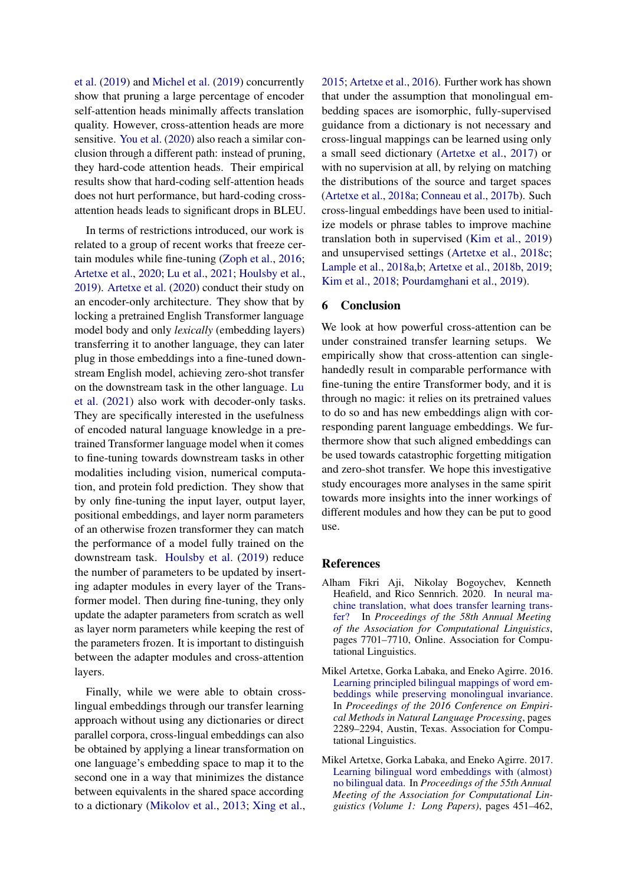[et al.](#page-8-3) [\(2019\)](#page-8-3) and [Michel et al.](#page-8-4) [\(2019\)](#page-8-4) concurrently show that pruning a large percentage of encoder self-attention heads minimally affects translation quality. However, cross-attention heads are more sensitive. [You et al.](#page-9-0) [\(2020\)](#page-9-0) also reach a similar conclusion through a different path: instead of pruning, they hard-code attention heads. Their empirical results show that hard-coding self-attention heads does not hurt performance, but hard-coding crossattention heads leads to significant drops in BLEU.

In terms of restrictions introduced, our work is related to a group of recent works that freeze certain modules while fine-tuning [\(Zoph et al.,](#page-9-1) [2016;](#page-9-1) [Artetxe et al.,](#page-7-10) [2020;](#page-7-10) [Lu et al.,](#page-8-12) [2021;](#page-8-12) [Houlsby et al.,](#page-7-11) [2019\)](#page-7-11). [Artetxe et al.](#page-7-10) [\(2020\)](#page-7-10) conduct their study on an encoder-only architecture. They show that by locking a pretrained English Transformer language model body and only *lexically* (embedding layers) transferring it to another language, they can later plug in those embeddings into a fine-tuned downstream English model, achieving zero-shot transfer on the downstream task in the other language. [Lu](#page-8-12) [et al.](#page-8-12) [\(2021\)](#page-8-12) also work with decoder-only tasks. They are specifically interested in the usefulness of encoded natural language knowledge in a pretrained Transformer language model when it comes to fine-tuning towards downstream tasks in other modalities including vision, numerical computation, and protein fold prediction. They show that by only fine-tuning the input layer, output layer, positional embeddings, and layer norm parameters of an otherwise frozen transformer they can match the performance of a model fully trained on the downstream task. [Houlsby et al.](#page-7-11) [\(2019\)](#page-7-11) reduce the number of parameters to be updated by inserting adapter modules in every layer of the Transformer model. Then during fine-tuning, they only update the adapter parameters from scratch as well as layer norm parameters while keeping the rest of the parameters frozen. It is important to distinguish between the adapter modules and cross-attention layers.

Finally, while we were able to obtain crosslingual embeddings through our transfer learning approach without using any dictionaries or direct parallel corpora, cross-lingual embeddings can also be obtained by applying a linear transformation on one language's embedding space to map it to the second one in a way that minimizes the distance between equivalents in the shared space according to a dictionary [\(Mikolov et al.,](#page-8-13) [2013;](#page-8-13) [Xing et al.,](#page-9-2) [2015;](#page-9-2) [Artetxe et al.,](#page-6-2) [2016\)](#page-6-2). Further work has shown that under the assumption that monolingual embedding spaces are isomorphic, fully-supervised guidance from a dictionary is not necessary and cross-lingual mappings can be learned using only a small seed dictionary [\(Artetxe et al.,](#page-6-1) [2017\)](#page-6-1) or with no supervision at all, by relying on matching the distributions of the source and target spaces [\(Artetxe et al.,](#page-7-12) [2018a;](#page-7-12) [Conneau et al.,](#page-7-13) [2017b\)](#page-7-13). Such cross-lingual embeddings have been used to initialize models or phrase tables to improve machine translation both in supervised [\(Kim et al.,](#page-7-14) [2019\)](#page-7-14) and unsupervised settings [\(Artetxe et al.,](#page-7-15) [2018c;](#page-7-15) [Lample et al.,](#page-8-14) [2018a,](#page-8-14)[b;](#page-8-15) [Artetxe et al.,](#page-7-16) [2018b,](#page-7-16) [2019;](#page-7-17) [Kim et al.,](#page-7-18) [2018;](#page-7-18) [Pourdamghani et al.,](#page-8-16) [2019\)](#page-8-16).

# 6 Conclusion

We look at how powerful cross-attention can be under constrained transfer learning setups. We empirically show that cross-attention can singlehandedly result in comparable performance with fine-tuning the entire Transformer body, and it is through no magic: it relies on its pretrained values to do so and has new embeddings align with corresponding parent language embeddings. We furthermore show that such aligned embeddings can be used towards catastrophic forgetting mitigation and zero-shot transfer. We hope this investigative study encourages more analyses in the same spirit towards more insights into the inner workings of different modules and how they can be put to good use.

#### References

- <span id="page-6-0"></span>Alham Fikri Aji, Nikolay Bogoychev, Kenneth Heafield, and Rico Sennrich. 2020. [In neural ma](https://doi.org/10.18653/v1/2020.acl-main.688)[chine translation, what does transfer learning trans](https://doi.org/10.18653/v1/2020.acl-main.688)[fer?](https://doi.org/10.18653/v1/2020.acl-main.688) In *Proceedings of the 58th Annual Meeting of the Association for Computational Linguistics*, pages 7701–7710, Online. Association for Computational Linguistics.
- <span id="page-6-2"></span>Mikel Artetxe, Gorka Labaka, and Eneko Agirre. 2016. [Learning principled bilingual mappings of word em](https://doi.org/10.18653/v1/D16-1250)[beddings while preserving monolingual invariance.](https://doi.org/10.18653/v1/D16-1250) In *Proceedings of the 2016 Conference on Empirical Methods in Natural Language Processing*, pages 2289–2294, Austin, Texas. Association for Computational Linguistics.
- <span id="page-6-1"></span>Mikel Artetxe, Gorka Labaka, and Eneko Agirre. 2017. [Learning bilingual word embeddings with \(almost\)](https://doi.org/10.18653/v1/P17-1042) [no bilingual data.](https://doi.org/10.18653/v1/P17-1042) In *Proceedings of the 55th Annual Meeting of the Association for Computational Linguistics (Volume 1: Long Papers)*, pages 451–462,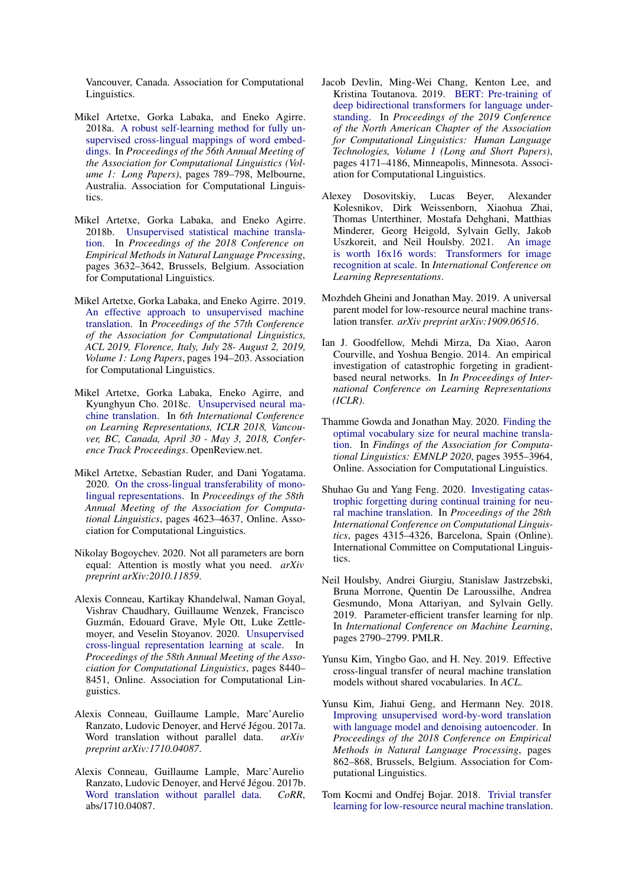Vancouver, Canada. Association for Computational Linguistics.

- <span id="page-7-12"></span>Mikel Artetxe, Gorka Labaka, and Eneko Agirre. 2018a. [A robust self-learning method for fully un](https://doi.org/10.18653/v1/P18-1073)[supervised cross-lingual mappings of word embed](https://doi.org/10.18653/v1/P18-1073)[dings.](https://doi.org/10.18653/v1/P18-1073) In *Proceedings of the 56th Annual Meeting of the Association for Computational Linguistics (Volume 1: Long Papers)*, pages 789–798, Melbourne, Australia. Association for Computational Linguistics.
- <span id="page-7-16"></span>Mikel Artetxe, Gorka Labaka, and Eneko Agirre. 2018b. [Unsupervised statistical machine transla](https://doi.org/10.18653/v1/D18-1399)[tion.](https://doi.org/10.18653/v1/D18-1399) In *Proceedings of the 2018 Conference on Empirical Methods in Natural Language Processing*, pages 3632–3642, Brussels, Belgium. Association for Computational Linguistics.
- <span id="page-7-17"></span>Mikel Artetxe, Gorka Labaka, and Eneko Agirre. 2019. [An effective approach to unsupervised machine](https://doi.org/10.18653/v1/p19-1019) [translation.](https://doi.org/10.18653/v1/p19-1019) In *Proceedings of the 57th Conference of the Association for Computational Linguistics, ACL 2019, Florence, Italy, July 28- August 2, 2019, Volume 1: Long Papers*, pages 194–203. Association for Computational Linguistics.
- <span id="page-7-15"></span>Mikel Artetxe, Gorka Labaka, Eneko Agirre, and Kyunghyun Cho. 2018c. [Unsupervised neural ma](https://openreview.net/forum?id=Sy2ogebAW)[chine translation.](https://openreview.net/forum?id=Sy2ogebAW) In *6th International Conference on Learning Representations, ICLR 2018, Vancouver, BC, Canada, April 30 - May 3, 2018, Conference Track Proceedings*. OpenReview.net.
- <span id="page-7-10"></span>Mikel Artetxe, Sebastian Ruder, and Dani Yogatama. 2020. [On the cross-lingual transferability of mono](https://doi.org/10.18653/v1/2020.acl-main.421)[lingual representations.](https://doi.org/10.18653/v1/2020.acl-main.421) In *Proceedings of the 58th Annual Meeting of the Association for Computational Linguistics*, pages 4623–4637, Online. Association for Computational Linguistics.
- <span id="page-7-4"></span>Nikolay Bogoychev. 2020. Not all parameters are born equal: Attention is mostly what you need. *arXiv preprint arXiv:2010.11859*.
- <span id="page-7-2"></span>Alexis Conneau, Kartikay Khandelwal, Naman Goyal, Vishrav Chaudhary, Guillaume Wenzek, Francisco Guzmán, Edouard Grave, Myle Ott, Luke Zettlemoyer, and Veselin Stoyanov. 2020. [Unsupervised](https://doi.org/10.18653/v1/2020.acl-main.747) [cross-lingual representation learning at scale.](https://doi.org/10.18653/v1/2020.acl-main.747) In *Proceedings of the 58th Annual Meeting of the Association for Computational Linguistics*, pages 8440– 8451, Online. Association for Computational Linguistics.
- <span id="page-7-8"></span>Alexis Conneau, Guillaume Lample, Marc'Aurelio Ranzato, Ludovic Denoyer, and Hervé Jégou. 2017a. Word translation without parallel data. *arXiv preprint arXiv:1710.04087*.
- <span id="page-7-13"></span>Alexis Conneau, Guillaume Lample, Marc'Aurelio Ranzato, Ludovic Denoyer, and Hervé Jégou. 2017b. [Word translation without parallel data.](http://arxiv.org/abs/1710.04087) *CoRR*, abs/1710.04087.
- <span id="page-7-1"></span>Jacob Devlin, Ming-Wei Chang, Kenton Lee, and Kristina Toutanova. 2019. [BERT: Pre-training of](https://doi.org/10.18653/v1/N19-1423) [deep bidirectional transformers for language under](https://doi.org/10.18653/v1/N19-1423)[standing.](https://doi.org/10.18653/v1/N19-1423) In *Proceedings of the 2019 Conference of the North American Chapter of the Association for Computational Linguistics: Human Language Technologies, Volume 1 (Long and Short Papers)*, pages 4171–4186, Minneapolis, Minnesota. Association for Computational Linguistics.
- <span id="page-7-0"></span>Alexey Dosovitskiy, Lucas Beyer, Alexander Kolesnikov, Dirk Weissenborn, Xiaohua Zhai, Thomas Unterthiner, Mostafa Dehghani, Matthias Minderer, Georg Heigold, Sylvain Gelly, Jakob Uszkoreit, and Neil Houlsby. 2021. [An image](https://openreview.net/forum?id=YicbFdNTTy) [is worth 16x16 words: Transformers for image](https://openreview.net/forum?id=YicbFdNTTy) [recognition at scale.](https://openreview.net/forum?id=YicbFdNTTy) In *International Conference on Learning Representations*.
- <span id="page-7-6"></span>Mozhdeh Gheini and Jonathan May. 2019. A universal parent model for low-resource neural machine translation transfer. *arXiv preprint arXiv:1909.06516*.
- <span id="page-7-3"></span>Ian J. Goodfellow, Mehdi Mirza, Da Xiao, Aaron Courville, and Yoshua Bengio. 2014. An empirical investigation of catastrophic forgeting in gradientbased neural networks. In *In Proceedings of International Conference on Learning Representations (ICLR)*.
- <span id="page-7-7"></span>Thamme Gowda and Jonathan May. 2020. [Finding the](https://doi.org/10.18653/v1/2020.findings-emnlp.352) [optimal vocabulary size for neural machine transla](https://doi.org/10.18653/v1/2020.findings-emnlp.352)[tion.](https://doi.org/10.18653/v1/2020.findings-emnlp.352) In *Findings of the Association for Computational Linguistics: EMNLP 2020*, pages 3955–3964, Online. Association for Computational Linguistics.
- <span id="page-7-9"></span>Shuhao Gu and Yang Feng. 2020. [Investigating catas](https://doi.org/10.18653/v1/2020.coling-main.381)[trophic forgetting during continual training for neu](https://doi.org/10.18653/v1/2020.coling-main.381)[ral machine translation.](https://doi.org/10.18653/v1/2020.coling-main.381) In *Proceedings of the 28th International Conference on Computational Linguistics*, pages 4315–4326, Barcelona, Spain (Online). International Committee on Computational Linguistics.
- <span id="page-7-11"></span>Neil Houlsby, Andrei Giurgiu, Stanislaw Jastrzebski, Bruna Morrone, Quentin De Laroussilhe, Andrea Gesmundo, Mona Attariyan, and Sylvain Gelly. 2019. Parameter-efficient transfer learning for nlp. In *International Conference on Machine Learning*, pages 2790–2799. PMLR.
- <span id="page-7-14"></span>Yunsu Kim, Yingbo Gao, and H. Ney. 2019. Effective cross-lingual transfer of neural machine translation models without shared vocabularies. In *ACL*.
- <span id="page-7-18"></span>Yunsu Kim, Jiahui Geng, and Hermann Ney. 2018. [Improving unsupervised word-by-word translation](https://doi.org/10.18653/v1/D18-1101) [with language model and denoising autoencoder.](https://doi.org/10.18653/v1/D18-1101) In *Proceedings of the 2018 Conference on Empirical Methods in Natural Language Processing*, pages 862–868, Brussels, Belgium. Association for Computational Linguistics.
- <span id="page-7-5"></span>Tom Kocmi and Ondřej Bojar. 2018. [Trivial transfer](https://doi.org/10.18653/v1/W18-6325) [learning for low-resource neural machine translation.](https://doi.org/10.18653/v1/W18-6325)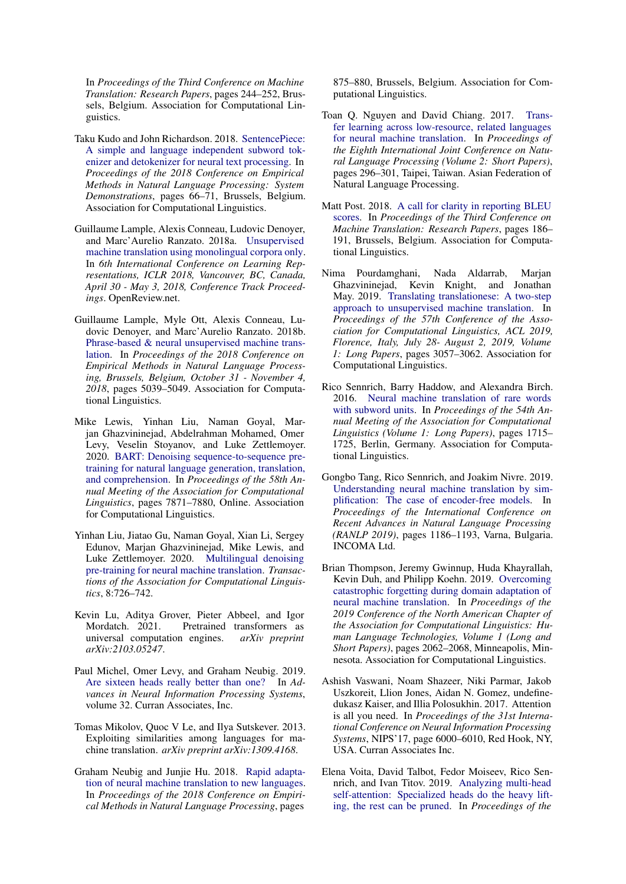In *Proceedings of the Third Conference on Machine Translation: Research Papers*, pages 244–252, Brussels, Belgium. Association for Computational Linguistics.

- <span id="page-8-9"></span>Taku Kudo and John Richardson. 2018. [SentencePiece:](https://doi.org/10.18653/v1/D18-2012) [A simple and language independent subword tok](https://doi.org/10.18653/v1/D18-2012)[enizer and detokenizer for neural text processing.](https://doi.org/10.18653/v1/D18-2012) In *Proceedings of the 2018 Conference on Empirical Methods in Natural Language Processing: System Demonstrations*, pages 66–71, Brussels, Belgium. Association for Computational Linguistics.
- <span id="page-8-14"></span>Guillaume Lample, Alexis Conneau, Ludovic Denoyer, and Marc'Aurelio Ranzato. 2018a. [Unsupervised](https://openreview.net/forum?id=rkYTTf-AZ) [machine translation using monolingual corpora only.](https://openreview.net/forum?id=rkYTTf-AZ) In *6th International Conference on Learning Representations, ICLR 2018, Vancouver, BC, Canada, April 30 - May 3, 2018, Conference Track Proceedings*. OpenReview.net.
- <span id="page-8-15"></span>Guillaume Lample, Myle Ott, Alexis Conneau, Ludovic Denoyer, and Marc'Aurelio Ranzato. 2018b. [Phrase-based & neural unsupervised machine trans](https://www.aclweb.org/anthology/D18-1549/)[lation.](https://www.aclweb.org/anthology/D18-1549/) In *Proceedings of the 2018 Conference on Empirical Methods in Natural Language Processing, Brussels, Belgium, October 31 - November 4, 2018*, pages 5039–5049. Association for Computational Linguistics.
- <span id="page-8-1"></span>Mike Lewis, Yinhan Liu, Naman Goyal, Marjan Ghazvininejad, Abdelrahman Mohamed, Omer Levy, Veselin Stoyanov, and Luke Zettlemoyer. 2020. [BART: Denoising sequence-to-sequence pre](https://doi.org/10.18653/v1/2020.acl-main.703)[training for natural language generation, translation,](https://doi.org/10.18653/v1/2020.acl-main.703) [and comprehension.](https://doi.org/10.18653/v1/2020.acl-main.703) In *Proceedings of the 58th Annual Meeting of the Association for Computational Linguistics*, pages 7871–7880, Online. Association for Computational Linguistics.
- <span id="page-8-2"></span>Yinhan Liu, Jiatao Gu, Naman Goyal, Xian Li, Sergey Edunov, Marjan Ghazvininejad, Mike Lewis, and Luke Zettlemoyer. 2020. [Multilingual denoising](https://doi.org/10.1162/tacl_a_00343) [pre-training for neural machine translation.](https://doi.org/10.1162/tacl_a_00343) *Transactions of the Association for Computational Linguistics*, 8:726–742.
- <span id="page-8-12"></span>Kevin Lu, Aditya Grover, Pieter Abbeel, and Igor Mordatch. 2021. Pretrained transformers as universal computation engines. *arXiv preprint arXiv:2103.05247*.
- <span id="page-8-4"></span>Paul Michel, Omer Levy, and Graham Neubig. 2019. [Are sixteen heads really better than one?](https://proceedings.neurips.cc/paper/2019/file/2c601ad9d2ff9bc8b282670cdd54f69f-Paper.pdf) In *Advances in Neural Information Processing Systems*, volume 32. Curran Associates, Inc.
- <span id="page-8-13"></span>Tomas Mikolov, Quoc V Le, and Ilya Sutskever. 2013. Exploiting similarities among languages for machine translation. *arXiv preprint arXiv:1309.4168*.
- <span id="page-8-7"></span>Graham Neubig and Junjie Hu. 2018. [Rapid adapta](https://doi.org/10.18653/v1/D18-1103)[tion of neural machine translation to new languages.](https://doi.org/10.18653/v1/D18-1103) In *Proceedings of the 2018 Conference on Empirical Methods in Natural Language Processing*, pages

875–880, Brussels, Belgium. Association for Computational Linguistics.

- <span id="page-8-6"></span>Toan Q. Nguyen and David Chiang. 2017. [Trans](https://www.aclweb.org/anthology/I17-2050)[fer learning across low-resource, related languages](https://www.aclweb.org/anthology/I17-2050) [for neural machine translation.](https://www.aclweb.org/anthology/I17-2050) In *Proceedings of the Eighth International Joint Conference on Natural Language Processing (Volume 2: Short Papers)*, pages 296–301, Taipei, Taiwan. Asian Federation of Natural Language Processing.
- <span id="page-8-10"></span>Matt Post. 2018. [A call for clarity in reporting BLEU](https://doi.org/10.18653/v1/W18-6319) [scores.](https://doi.org/10.18653/v1/W18-6319) In *Proceedings of the Third Conference on Machine Translation: Research Papers*, pages 186– 191, Brussels, Belgium. Association for Computational Linguistics.
- <span id="page-8-16"></span>Nima Pourdamghani, Nada Aldarrab, Marjan Ghazvininejad, Kevin Knight, and Jonathan May. 2019. [Translating translationese: A two-step](https://doi.org/10.18653/v1/p19-1293) [approach to unsupervised machine translation.](https://doi.org/10.18653/v1/p19-1293) In *Proceedings of the 57th Conference of the Association for Computational Linguistics, ACL 2019, Florence, Italy, July 28- August 2, 2019, Volume 1: Long Papers*, pages 3057–3062. Association for Computational Linguistics.
- <span id="page-8-8"></span>Rico Sennrich, Barry Haddow, and Alexandra Birch. 2016. [Neural machine translation of rare words](https://doi.org/10.18653/v1/P16-1162) [with subword units.](https://doi.org/10.18653/v1/P16-1162) In *Proceedings of the 54th Annual Meeting of the Association for Computational Linguistics (Volume 1: Long Papers)*, pages 1715– 1725, Berlin, Germany. Association for Computational Linguistics.
- <span id="page-8-5"></span>Gongbo Tang, Rico Sennrich, and Joakim Nivre. 2019. [Understanding neural machine translation by sim](https://doi.org/10.26615/978-954-452-056-4_136)[plification: The case of encoder-free models.](https://doi.org/10.26615/978-954-452-056-4_136) In *Proceedings of the International Conference on Recent Advances in Natural Language Processing (RANLP 2019)*, pages 1186–1193, Varna, Bulgaria. INCOMA Ltd.
- <span id="page-8-11"></span>Brian Thompson, Jeremy Gwinnup, Huda Khayrallah, Kevin Duh, and Philipp Koehn. 2019. [Overcoming](https://doi.org/10.18653/v1/N19-1209) [catastrophic forgetting during domain adaptation of](https://doi.org/10.18653/v1/N19-1209) [neural machine translation.](https://doi.org/10.18653/v1/N19-1209) In *Proceedings of the 2019 Conference of the North American Chapter of the Association for Computational Linguistics: Human Language Technologies, Volume 1 (Long and Short Papers)*, pages 2062–2068, Minneapolis, Minnesota. Association for Computational Linguistics.
- <span id="page-8-0"></span>Ashish Vaswani, Noam Shazeer, Niki Parmar, Jakob Uszkoreit, Llion Jones, Aidan N. Gomez, undefinedukasz Kaiser, and Illia Polosukhin. 2017. Attention is all you need. In *Proceedings of the 31st International Conference on Neural Information Processing Systems*, NIPS'17, page 6000–6010, Red Hook, NY, USA. Curran Associates Inc.
- <span id="page-8-3"></span>Elena Voita, David Talbot, Fedor Moiseev, Rico Sennrich, and Ivan Titov. 2019. [Analyzing multi-head](https://doi.org/10.18653/v1/P19-1580) [self-attention: Specialized heads do the heavy lift](https://doi.org/10.18653/v1/P19-1580)[ing, the rest can be pruned.](https://doi.org/10.18653/v1/P19-1580) In *Proceedings of the*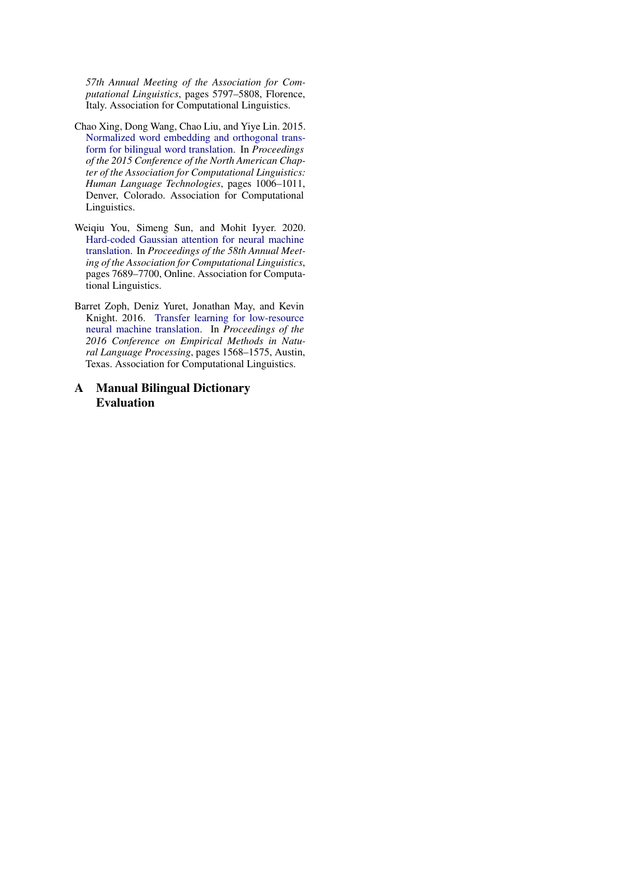*57th Annual Meeting of the Association for Computational Linguistics*, pages 5797–5808, Florence, Italy. Association for Computational Linguistics.

- <span id="page-9-2"></span>Chao Xing, Dong Wang, Chao Liu, and Yiye Lin. 2015. [Normalized word embedding and orthogonal trans](https://doi.org/10.3115/v1/N15-1104)[form for bilingual word translation.](https://doi.org/10.3115/v1/N15-1104) In *Proceedings of the 2015 Conference of the North American Chapter of the Association for Computational Linguistics: Human Language Technologies*, pages 1006–1011, Denver, Colorado. Association for Computational Linguistics.
- <span id="page-9-0"></span>Weiqiu You, Simeng Sun, and Mohit Iyyer. 2020. [Hard-coded Gaussian attention for neural machine](https://doi.org/10.18653/v1/2020.acl-main.687) [translation.](https://doi.org/10.18653/v1/2020.acl-main.687) In *Proceedings of the 58th Annual Meeting of the Association for Computational Linguistics*, pages 7689–7700, Online. Association for Computational Linguistics.
- <span id="page-9-1"></span>Barret Zoph, Deniz Yuret, Jonathan May, and Kevin Knight. 2016. [Transfer learning for low-resource](https://doi.org/10.18653/v1/D16-1163) [neural machine translation.](https://doi.org/10.18653/v1/D16-1163) In *Proceedings of the 2016 Conference on Empirical Methods in Natural Language Processing*, pages 1568–1575, Austin, Texas. Association for Computational Linguistics.
- A Manual Bilingual Dictionary Evaluation